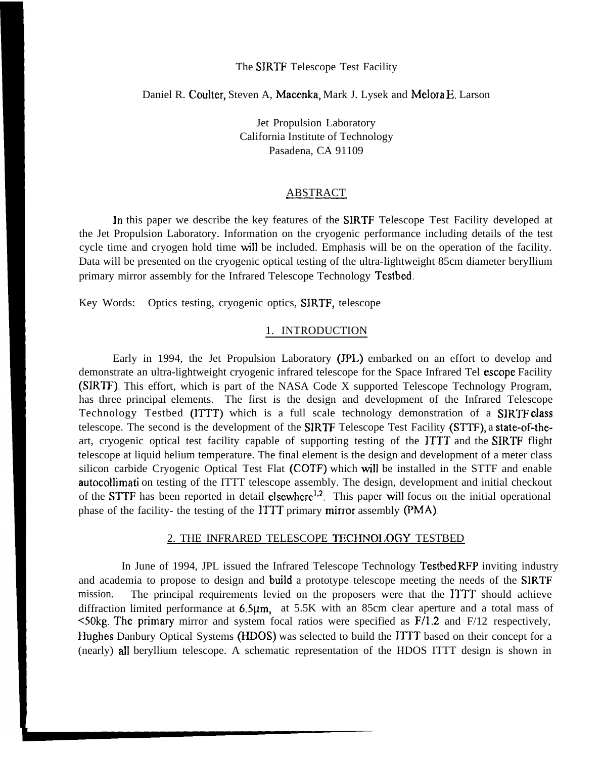## The SIRTF Telescope Test Facility

# Daniel R. Coulter, Steven A, Maccnka, Mark J. Lysek and Melora E. Larson

Jet Propulsion Laboratory California Institute of Technology Pasadena, CA 91109

### .—ABSTRACT

In this paper we describe the key features of the SIRTF Telescope Test Facility developed at the Jet Propulsion Laboratory. Information on the cryogenic performance including details of the test cycle time and cryogen hold time will be included. Emphasis will be on the operation of the facility. Data will be presented on the cryogenic optical testing of the ultra-lightweight 85cm diameter beryllium primary mirror assembly for the Infrared Telescope Technology Testbed.

Key Words: Optics testing, cryogenic optics, SIRTF, telescope

## 1. INTRODUCTION

Early in 1994, the Jet Propulsion Laboratory (JPL) embarked on an effort to develop and demonstrate an ultra-lightweight cryogenic infrared telescope for the Space Infrared Tel escope Facility (SIRTF). This effort, which is part of the NASA Code X supported Telescope Technology Program, has three principal elements. The first is the design and development of the Infrared Telescope Technology Testbed (ITTT) which is a full scale technology demonstration of a SIRTF class telescope. The second is the development of the SIRTF Telescope Test Facility (STTF), a state-of-theart, cryogenic optical test facility capable of supporting testing of the ITTT and the SIRTF flight telescope at liquid helium temperature. The final element is the design and development of a meter class silicon carbide Cryogenic Optical Test Flat (COTF) which will be installed in the STTF and enable autocollimati on testing of the ITTT telescope assembly. The design, development and initial checkout of the STTF has been reported in detail elsewhere<sup>1,2</sup>. This paper will focus on the initial operational phase of the facility- the testing of the lTTT primary minor assembly (PMA).

### 2. THE INFRARED TELESCOPE TECHNOLOGY TESTBED

In June of 1994, JPL issued the Infrared Telescope Technology Testbed RFP inviting industry and academia to propose to design and build a prototype telescope meeting the needs of the SIRTF mission. The principal requirements levied on the proposers were that the ITTT should achieve diffraction limited performance at 6.5 $\mu$ m, at 5.5K with an 85cm clear aperture and a total mass of  $\leq$ 50kg. The primary mirror and system focal ratios were specified as F/1.2 and F/12 respectively, Hughes Danbury Optical Systems (HDOS) was selected to build the ITTT based on their concept for a (nearly) all beryllium telescope. A schematic representation of the HDOS ITTT design is shown in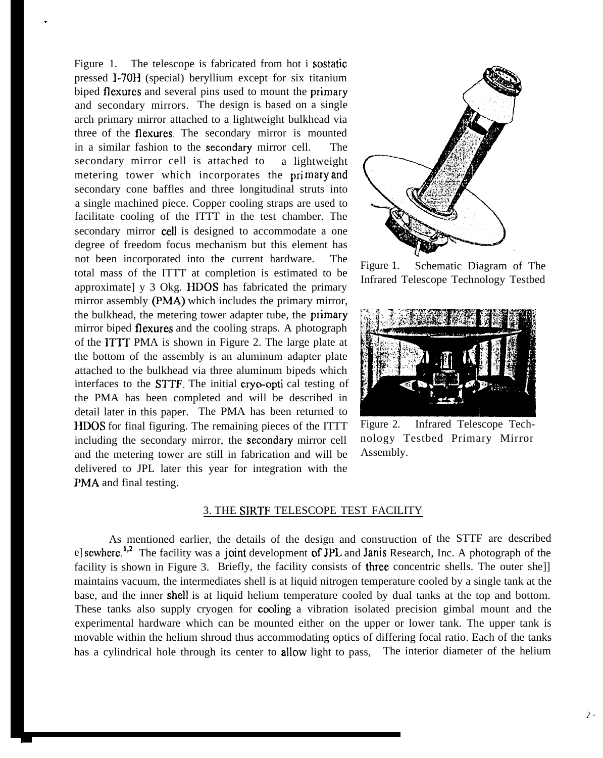Figure 1. The telescope is fabricated from hot i sostatic pressed I-70H (special) beryllium except for six titanium biped flexures and several pins used to mount the primary and secondary mirrors. The design is based on a single arch primary mirror attached to a lightweight bulkhead via three of the flexures. The secondary mirror is mounted in a similar fashion to the **secondary** mirror cell. The secondary mirror cell is attached to a lightweight metering tower which incorporates the primary and secondary cone baffles and three longitudinal struts into a single machined piece. Copper cooling straps are used to facilitate cooling of the ITTT in the test chamber. The secondary mirror cell is designed to accommodate a one degree of freedom focus mechanism but this element has not been incorporated into the current hardware. The total mass of the ITTT at completion is estimated to be approximate] y 3 Okg. HDOS has fabricated the primary mirror assembly (PMA) which includes the primary mirror, the bulkhead, the metering tower adapter tube, the primary mirror biped flexures and the cooling straps. A photograph of the ITTf PMA is shown in Figure 2. The large plate at the bottom of the assembly is an aluminum adapter plate attached to the bulkhead via three aluminum bipeds which interfaces to the STTF. The initial cryo-opti cal testing of the PMA has been completed and will be described in detail later in this paper. The PMA has been returned to HDOS for final figuring. The remaining pieces of the ITTT including the secondary mirror, the secondary mirror cell and the metering tower are still in fabrication and will be delivered to JPL later this year for integration with the PMA and final testing.

.



Figure 1. Schematic Diagram of The Infrared Telescope Technology Testbed



Figure 2. Infrared Telescope Technology Testbed Primary Mirror Assembly.

## 3. THE SIRTF TELESCOPE TEST FACILITY

As mentioned earlier, the details of the design and construction of the STTF are described el sewhere.<sup>1,2</sup> The facility was a joint development of JPL and Janis Research, Inc. A photograph of the facility is shown in Figure 3. Briefly, the facility consists of three concentric shells. The outer shell maintains vacuum, the intermediates shell is at liquid nitrogen temperature cooled by a single tank at the base, and the inner shell is at liquid helium temperature cooled by dual tanks at the top and bottom. These tanks also supply cryogen for **cooling** a vibration isolated precision gimbal mount and the experimental hardware which can be mounted either on the upper or lower tank. The upper tank is movable within the helium shroud thus accommodating optics of differing focal ratio. Each of the tanks has a cylindrical hole through its center to allow light to pass, The interior diameter of the helium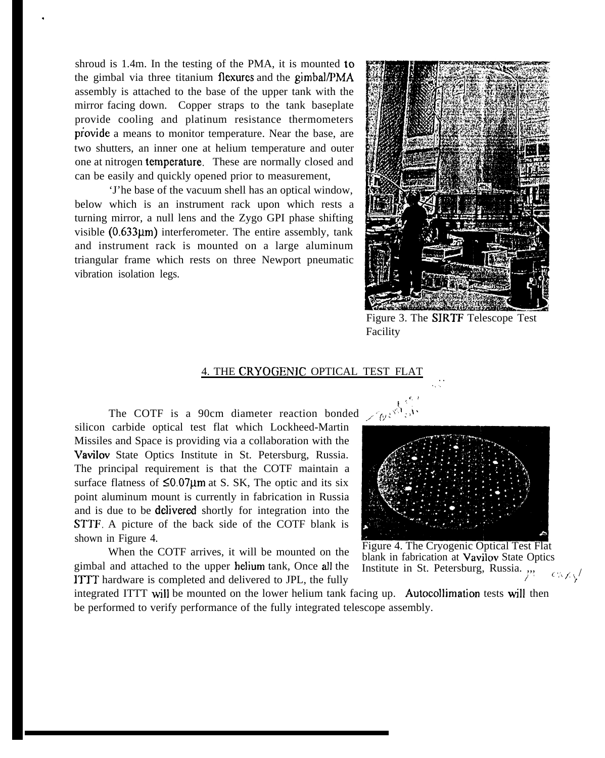shroud is 1.4m. In the testing of the PMA, it is mounted to the gimbal via three titanium flexures and the gimbal/PMA assembly is attached to the base of the upper tank with the mirror facing down. Copper straps to the tank baseplate provide cooling and platinum resistance thermometers provide a means to monitor temperature. Near the base, are two shutters, an inner one at helium temperature and outer one at nitrogen **temperature**. These are normally closed and can be easily and quickly opened prior to measurement,

,

'J'he base of the vacuum shell has an optical window, below which is an instrument rack upon which rests a turning mirror, a null lens and the Zygo GPI phase shifting visible  $(0.633\mu m)$  interferometer. The entire assembly, tank and instrument rack is mounted on a large aluminum triangular frame which rests on three Newport pneumatic vibration isolation legs.



Figure 3. The SIRTF Telescope Test Facility

. . .,.

### 4. THE CRYOGENJC OPTICAL TEST FLAT

The COTF is a 90cm diameter reaction bonded  $\sqrt{\sqrt{g}}$ silicon carbide optical test flat which Lockheed-Martin Missiles and Space is providing via a collaboration with the Vavilov State Optics Institute in St. Petersburg, Russia. The principal requirement is that the COTF maintain a surface flatness of  $\leq 0.07 \mu m$  at S. SK, The optic and its six point aluminum mount is currently in fabrication in Russia and is due to be delivered shortly for integration into the STTF. A picture of the back side of the COTF blank is shown in Figure 4.

When the COTF arrives, it will be mounted on the gimbal and attached to the upper helium tank, Once all the ITTT hardware is completed and delivered to JPL, the fully



Figure 4. The Cryogenic Optical Test Flat blank in fabrication at Vavilov State Optics Institute in St. Petersburg, Russia. ,,,  $C \wedge f, \sqrt{ }$ 

integrated ITTT will be mounted on the lower helium tank facing up. Autocollimation tests will then be performed to verify performance of the fully integrated telescope assembly.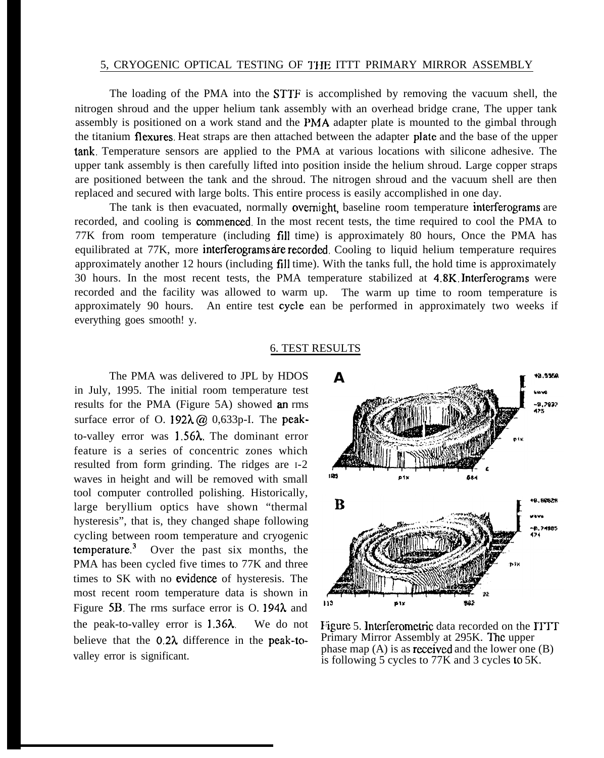### 5, CRYOGENIC OPTICAL TESTING OF THE ITTT PRIMARY MIRROR ASSEMBLY

The loading of the PMA into the STTF is accomplished by removing the vacuum shell, the nitrogen shroud and the upper helium tank assembly with an overhead bridge crane, The upper tank assembly is positioned on a work stand and the PMA adapter plate is mounted to the gimbal through the titanium flexures. Heat straps are then attached between the adapter plate and the base of the upper tank. Temperature sensors are applied to the PMA at various locations with silicone adhesive. The upper tank assembly is then carefully lifted into position inside the helium shroud. Large copper straps are positioned between the tank and the shroud. The nitrogen shroud and the vacuum shell are then replaced and secured with large bolts. This entire process is easily accomplished in one day.

The tank is then evacuated, normally overnight, baseline room temperature interferograms are recorded, and cooling is commenced. In the most recent tests, the time required to cool the PMA to 77K from room temperature (including fill time) is approximately 80 hours, Once the PMA has equilibrated at 77K, more interferograms are recorded. Cooling to liquid helium temperature requires approximately another 12 hours (including fill time). With the tanks full, the hold time is approximately 30 hours. In the most recent tests, the PMA temperature stabilized at 4.8K. Interferograms were recorded and the facility was allowed to warm up. The warm up time to room temperature is approximately 90 hours. An entire test cycle ean be performed in approximately two weeks if everything goes smooth! y.

#### 6. TEST RESULTS

The PMA was delivered to JPL by HDOS in July, 1995. The initial room temperature test results for the PMA (Figure 5A) showed an rms surface error of O. 192 $\lambda$  ( $\alpha$ ) 0,633p-I. The peakto-valley error was 1.56k, The dominant error feature is a series of concentric zones which resulted from form grinding. The ridges are I-2 waves in height and will be removed with small tool computer controlled polishing. Historically, large beryllium optics have shown "thermal hysteresis", that is, they changed shape following cycling between room temperature and cryogenic temperature.3 Over the past six months, the PMA has been cycled five times to 77K and three times to SK with no evidenee of hysteresis. The most recent room temperature data is shown in Figure 5B. The rms surface error is O. 194 $\lambda$  and the peak-to-valley error is  $1.36\lambda$ . We do not believe that the  $0.2\lambda$  difference in the peak-tovalley error is significant.



Figure 5. Interferometric data recorded on the ITTT Primary Mirror Assembly at 295K. The upper phase map  $(A)$  is as **received** and the lower one  $(B)$ is following 5 cycles to 77K and 3 cycles to 5K.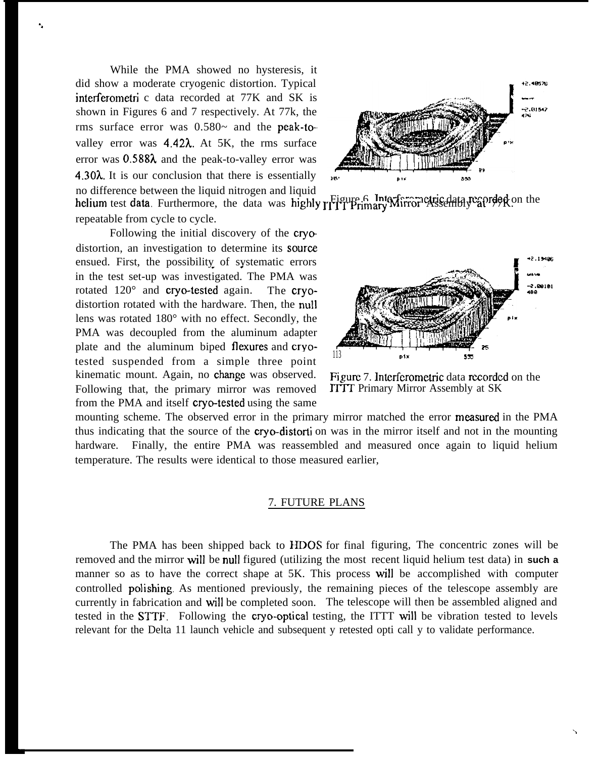While the PMA showed no hysteresis, it did show a moderate cryogenic distortion. Typical interferometri c data recorded at 77K and SK is shown in Figures 6 and 7 respectively. At 77k, the rms surface error was  $0.580$ ~ and the peak-tovalley error was 4.42 $\lambda$ . At 5K, the rms surface error was  $0.588\lambda$  and the peak-to-valley error was 4.30 $\lambda$ . It is our conclusion that there is essentially no difference between the liquid nitrogen and liquid

repeatable from cycle to cycle. Following the initial discovery of the cryodistortion, an investigation to determine its source ensued. First, the possibility of systematic errors in the test set-up was investigated. The PMA was rotated 120° and cryo-tested again. distortion rotated with the hardware. Then, the **nu!l** lens was rotated  $180^\circ$  with no effect. Secondly, the PMA was decoupled from the aluminum adapter plate and the aluminum biped flexures and cryotested suspended from a simple three point  $\frac{113}{113}$  Dix s kinematic mount. Again, no change was observed. Figure 7. Interferometric data recorded on the Following that, the primary mirror was removed ITTT Primary Mirror Assembly at SK from the PMA and itself cryo-tested using the same

12.48576 2.01542

no untertance between the helium test data was highly  $\iota_{\text{F}}^{\text{Figure 6}}$ . Interferometric data, Furthermore, the data was highly  $\iota_{\text{F}}^{\text{Figure 6}}$ . Interferometric data, Furthermore, the data was highly  $\iota_{\text{F}}^{\text{Figure$ 



mounting scheme. The observed error in the primary mirror matched the error measured in the PMA thus indicating that the source of the **cryo-distorti** on was in the mirror itself and not in the mounting hardware. Finally, the entire PMA was reassembled and measured once again to liquid helium temperature. The results were identical to those measured earlier,

#### 7. FUTURE PLANS

The PMA has been shipped back to HDOS for final figuring, The concentric zones will be removed and the mirror will be null figured (utilizing the most recent liquid helium test data) in **such a** manner so as to have the correct shape at 5K. This process will be accomplished with computer controlled polishing. As mentioned previously, the remaining pieces of the telescope assembly are currently in fabrication and will be completed soon. The telescope will then be assembled aligned and tested in the STTF. Following the cryo-optical testing, the ITTT will be vibration tested to levels relevant for the Delta 11 launch vehicle and subsequent y retested opti call y to validate performance.